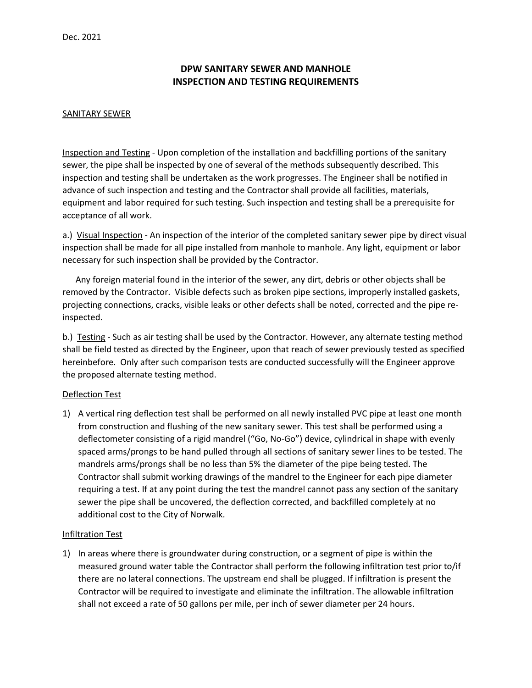# **DPW SANITARY SEWER AND MANHOLE INSPECTION AND TESTING REQUIREMENTS**

### SANITARY SEWER

Inspection and Testing - Upon completion of the installation and backfilling portions of the sanitary sewer, the pipe shall be inspected by one of several of the methods subsequently described. This inspection and testing shall be undertaken as the work progresses. The Engineer shall be notified in advance of such inspection and testing and the Contractor shall provide all facilities, materials, equipment and labor required for such testing. Such inspection and testing shall be a prerequisite for acceptance of all work.

a.) Visual Inspection - An inspection of the interior of the completed sanitary sewer pipe by direct visual inspection shall be made for all pipe installed from manhole to manhole. Any light, equipment or labor necessary for such inspection shall be provided by the Contractor.

 Any foreign material found in the interior of the sewer, any dirt, debris or other objects shall be removed by the Contractor. Visible defects such as broken pipe sections, improperly installed gaskets, projecting connections, cracks, visible leaks or other defects shall be noted, corrected and the pipe reinspected.

b.) Testing - Such as air testing shall be used by the Contractor. However, any alternate testing method shall be field tested as directed by the Engineer, upon that reach of sewer previously tested as specified hereinbefore. Only after such comparison tests are conducted successfully will the Engineer approve the proposed alternate testing method.

# Deflection Test

1) A vertical ring deflection test shall be performed on all newly installed PVC pipe at least one month from construction and flushing of the new sanitary sewer. This test shall be performed using a deflectometer consisting of a rigid mandrel ("Go, No-Go") device, cylindrical in shape with evenly spaced arms/prongs to be hand pulled through all sections of sanitary sewer lines to be tested. The mandrels arms/prongs shall be no less than 5% the diameter of the pipe being tested. The Contractor shall submit working drawings of the mandrel to the Engineer for each pipe diameter requiring a test. If at any point during the test the mandrel cannot pass any section of the sanitary sewer the pipe shall be uncovered, the deflection corrected, and backfilled completely at no additional cost to the City of Norwalk.

#### Infiltration Test

1) In areas where there is groundwater during construction, or a segment of pipe is within the measured ground water table the Contractor shall perform the following infiltration test prior to/if there are no lateral connections. The upstream end shall be plugged. If infiltration is present the Contractor will be required to investigate and eliminate the infiltration. The allowable infiltration shall not exceed a rate of 50 gallons per mile, per inch of sewer diameter per 24 hours.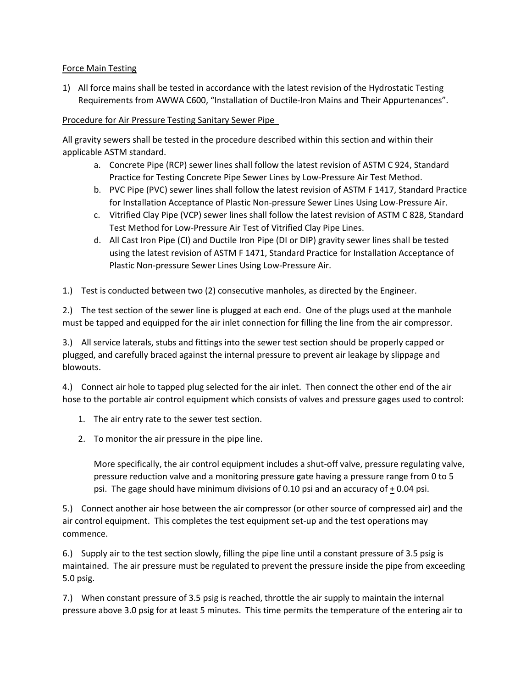# Force Main Testing

1) All force mains shall be tested in accordance with the latest revision of the Hydrostatic Testing Requirements from AWWA C600, "Installation of Ductile-Iron Mains and Their Appurtenances".

# Procedure for Air Pressure Testing Sanitary Sewer Pipe

All gravity sewers shall be tested in the procedure described within this section and within their applicable ASTM standard.

- a. Concrete Pipe (RCP) sewer lines shall follow the latest revision of ASTM C 924, Standard Practice for Testing Concrete Pipe Sewer Lines by Low-Pressure Air Test Method.
- b. PVC Pipe (PVC) sewer lines shall follow the latest revision of ASTM F 1417, Standard Practice for Installation Acceptance of Plastic Non-pressure Sewer Lines Using Low-Pressure Air.
- c. Vitrified Clay Pipe (VCP) sewer lines shall follow the latest revision of ASTM C 828, Standard Test Method for Low-Pressure Air Test of Vitrified Clay Pipe Lines.
- d. All Cast Iron Pipe (CI) and Ductile Iron Pipe (DI or DIP) gravity sewer lines shall be tested using the latest revision of ASTM F 1471, Standard Practice for Installation Acceptance of Plastic Non-pressure Sewer Lines Using Low-Pressure Air.

1.) Test is conducted between two (2) consecutive manholes, as directed by the Engineer.

2.) The test section of the sewer line is plugged at each end. One of the plugs used at the manhole must be tapped and equipped for the air inlet connection for filling the line from the air compressor.

3.) All service laterals, stubs and fittings into the sewer test section should be properly capped or plugged, and carefully braced against the internal pressure to prevent air leakage by slippage and blowouts.

4.) Connect air hole to tapped plug selected for the air inlet. Then connect the other end of the air hose to the portable air control equipment which consists of valves and pressure gages used to control:

- 1. The air entry rate to the sewer test section.
- 2. To monitor the air pressure in the pipe line.

More specifically, the air control equipment includes a shut-off valve, pressure regulating valve, pressure reduction valve and a monitoring pressure gate having a pressure range from 0 to 5 psi. The gage should have minimum divisions of 0.10 psi and an accuracy of + 0.04 psi.

5.) Connect another air hose between the air compressor (or other source of compressed air) and the air control equipment. This completes the test equipment set-up and the test operations may commence.

6.) Supply air to the test section slowly, filling the pipe line until a constant pressure of 3.5 psig is maintained. The air pressure must be regulated to prevent the pressure inside the pipe from exceeding 5.0 psig.

7.) When constant pressure of 3.5 psig is reached, throttle the air supply to maintain the internal pressure above 3.0 psig for at least 5 minutes. This time permits the temperature of the entering air to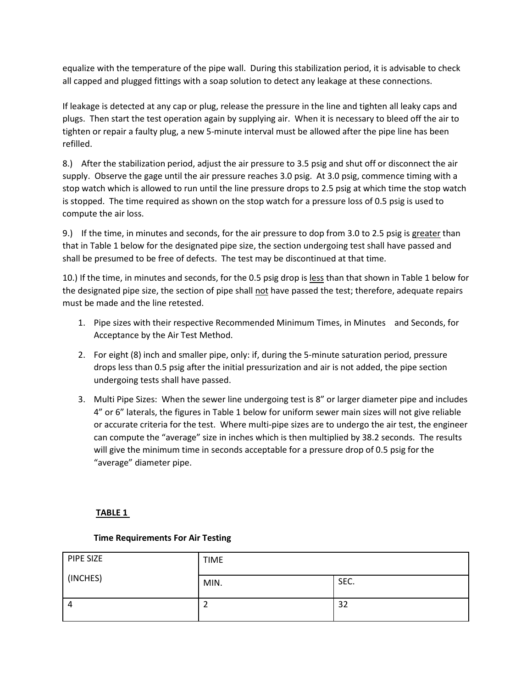equalize with the temperature of the pipe wall. During this stabilization period, it is advisable to check all capped and plugged fittings with a soap solution to detect any leakage at these connections.

If leakage is detected at any cap or plug, release the pressure in the line and tighten all leaky caps and plugs. Then start the test operation again by supplying air. When it is necessary to bleed off the air to tighten or repair a faulty plug, a new 5-minute interval must be allowed after the pipe line has been refilled.

8.) After the stabilization period, adjust the air pressure to 3.5 psig and shut off or disconnect the air supply. Observe the gage until the air pressure reaches 3.0 psig. At 3.0 psig, commence timing with a stop watch which is allowed to run until the line pressure drops to 2.5 psig at which time the stop watch is stopped. The time required as shown on the stop watch for a pressure loss of 0.5 psig is used to compute the air loss.

9.) If the time, in minutes and seconds, for the air pressure to dop from 3.0 to 2.5 psig is greater than that in Table 1 below for the designated pipe size, the section undergoing test shall have passed and shall be presumed to be free of defects. The test may be discontinued at that time.

10.) If the time, in minutes and seconds, for the 0.5 psig drop is less than that shown in Table 1 below for the designated pipe size, the section of pipe shall not have passed the test; therefore, adequate repairs must be made and the line retested.

- 1. Pipe sizes with their respective Recommended Minimum Times, in Minutes and Seconds, for Acceptance by the Air Test Method.
- 2. For eight (8) inch and smaller pipe, only: if, during the 5-minute saturation period, pressure drops less than 0.5 psig after the initial pressurization and air is not added, the pipe section undergoing tests shall have passed.
- 3. Multi Pipe Sizes: When the sewer line undergoing test is 8" or larger diameter pipe and includes 4" or 6" laterals, the figures in Table 1 below for uniform sewer main sizes will not give reliable or accurate criteria for the test. Where multi-pipe sizes are to undergo the air test, the engineer can compute the "average" size in inches which is then multiplied by 38.2 seconds. The results will give the minimum time in seconds acceptable for a pressure drop of 0.5 psig for the "average" diameter pipe.

# **TABLE 1**

# **Time Requirements For Air Testing**

| PIPE SIZE | <b>TIME</b> |      |
|-----------|-------------|------|
| (INCHES)  | MIN.        | SEC. |
| 4         | _           | 32   |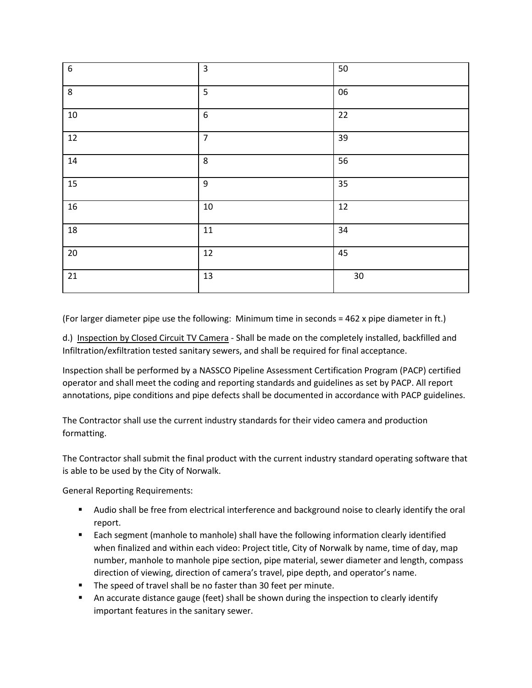| $\overline{6}$ | $\overline{3}$   | 50     |
|----------------|------------------|--------|
| $\,8\,$        | 5                | 06     |
| $10\,$         | $\boldsymbol{6}$ | $22\,$ |
| 12             | $\overline{7}$   | 39     |
| $14\,$         | 8                | 56     |
| 15             | 9                | 35     |
| $16\,$         | $10\,$           | $12\,$ |
| 18             | $11\,$           | 34     |
| $20\,$         | $12\,$           | 45     |
| $21\,$         | 13               | $30\,$ |

(For larger diameter pipe use the following: Minimum time in seconds = 462 x pipe diameter in ft.)

d.) Inspection by Closed Circuit TV Camera - Shall be made on the completely installed, backfilled and Infiltration/exfiltration tested sanitary sewers, and shall be required for final acceptance.

Inspection shall be performed by a NASSCO Pipeline Assessment Certification Program (PACP) certified operator and shall meet the coding and reporting standards and guidelines as set by PACP. All report annotations, pipe conditions and pipe defects shall be documented in accordance with PACP guidelines.

The Contractor shall use the current industry standards for their video camera and production formatting.

The Contractor shall submit the final product with the current industry standard operating software that is able to be used by the City of Norwalk.

General Reporting Requirements:

- Audio shall be free from electrical interference and background noise to clearly identify the oral report.
- **Each segment (manhole to manhole) shall have the following information clearly identified** when finalized and within each video: Project title, City of Norwalk by name, time of day, map number, manhole to manhole pipe section, pipe material, sewer diameter and length, compass direction of viewing, direction of camera's travel, pipe depth, and operator's name.
- The speed of travel shall be no faster than 30 feet per minute.
- An accurate distance gauge (feet) shall be shown during the inspection to clearly identify important features in the sanitary sewer.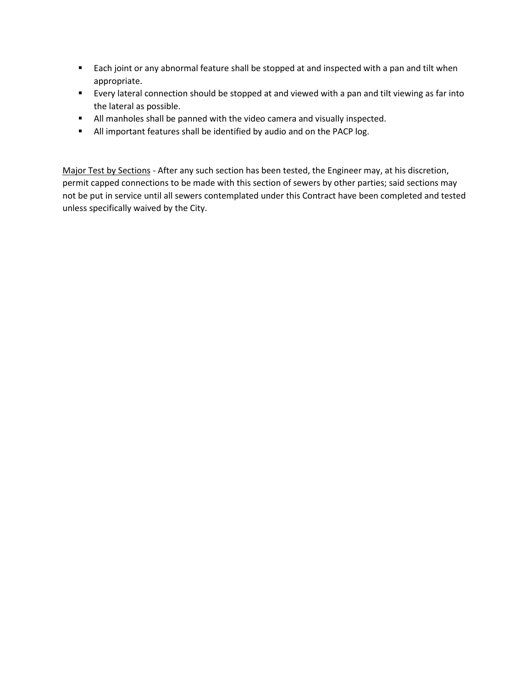- **Each joint or any abnormal feature shall be stopped at and inspected with a pan and tilt when** appropriate.
- Every lateral connection should be stopped at and viewed with a pan and tilt viewing as far into the lateral as possible.
- All manholes shall be panned with the video camera and visually inspected.
- **All important features shall be identified by audio and on the PACP log.**

Major Test by Sections - After any such section has been tested, the Engineer may, at his discretion, permit capped connections to be made with this section of sewers by other parties; said sections may not be put in service until all sewers contemplated under this Contract have been completed and tested unless specifically waived by the City.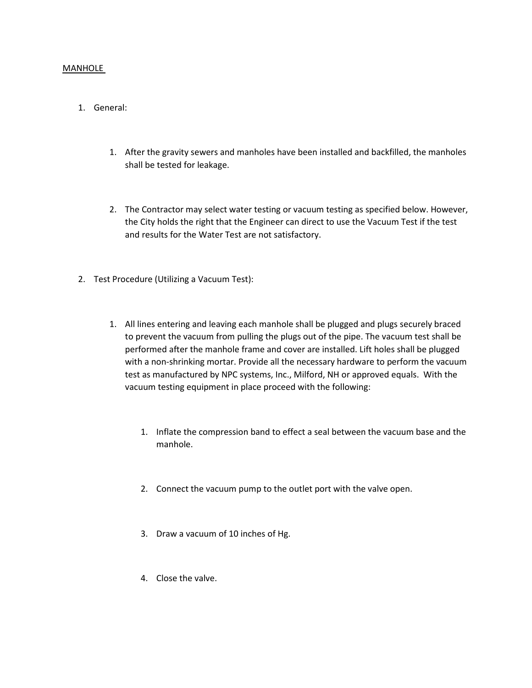#### MANHOLE

# 1. General:

- 1. After the gravity sewers and manholes have been installed and backfilled, the manholes shall be tested for leakage.
- 2. The Contractor may select water testing or vacuum testing as specified below. However, the City holds the right that the Engineer can direct to use the Vacuum Test if the test and results for the Water Test are not satisfactory.
- 2. Test Procedure (Utilizing a Vacuum Test):
	- 1. All lines entering and leaving each manhole shall be plugged and plugs securely braced to prevent the vacuum from pulling the plugs out of the pipe. The vacuum test shall be performed after the manhole frame and cover are installed. Lift holes shall be plugged with a non-shrinking mortar. Provide all the necessary hardware to perform the vacuum test as manufactured by NPC systems, Inc., Milford, NH or approved equals. With the vacuum testing equipment in place proceed with the following:
		- 1. Inflate the compression band to effect a seal between the vacuum base and the manhole.
		- 2. Connect the vacuum pump to the outlet port with the valve open.
		- 3. Draw a vacuum of 10 inches of Hg.
		- 4. Close the valve.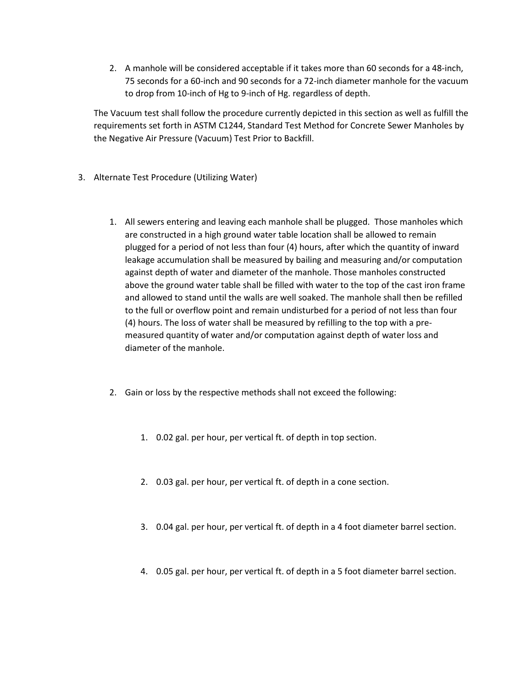2. A manhole will be considered acceptable if it takes more than 60 seconds for a 48-inch, 75 seconds for a 60-inch and 90 seconds for a 72-inch diameter manhole for the vacuum to drop from 10-inch of Hg to 9-inch of Hg. regardless of depth.

The Vacuum test shall follow the procedure currently depicted in this section as well as fulfill the requirements set forth in ASTM C1244, Standard Test Method for Concrete Sewer Manholes by the Negative Air Pressure (Vacuum) Test Prior to Backfill.

- 3. Alternate Test Procedure (Utilizing Water)
	- 1. All sewers entering and leaving each manhole shall be plugged. Those manholes which are constructed in a high ground water table location shall be allowed to remain plugged for a period of not less than four (4) hours, after which the quantity of inward leakage accumulation shall be measured by bailing and measuring and/or computation against depth of water and diameter of the manhole. Those manholes constructed above the ground water table shall be filled with water to the top of the cast iron frame and allowed to stand until the walls are well soaked. The manhole shall then be refilled to the full or overflow point and remain undisturbed for a period of not less than four (4) hours. The loss of water shall be measured by refilling to the top with a premeasured quantity of water and/or computation against depth of water loss and diameter of the manhole.
	- 2. Gain or loss by the respective methods shall not exceed the following:
		- 1. 0.02 gal. per hour, per vertical ft. of depth in top section.
		- 2. 0.03 gal. per hour, per vertical ft. of depth in a cone section.
		- 3. 0.04 gal. per hour, per vertical ft. of depth in a 4 foot diameter barrel section.
		- 4. 0.05 gal. per hour, per vertical ft. of depth in a 5 foot diameter barrel section.